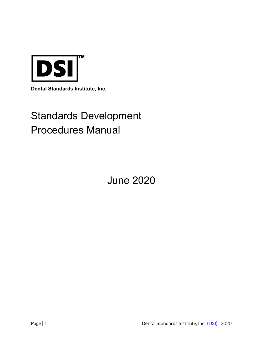

**Dental Standards Institute, Inc.**

# Standards Development Procedures Manual

June 2020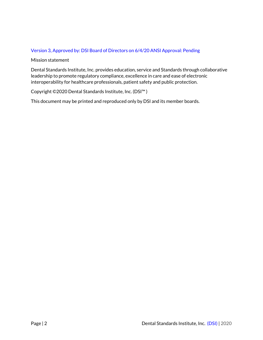# Version 3, Approved by: DSI Board of Directors on 6/4/20 ANSI Approval: Pending

# Mission statement

Dental Standards Institute, Inc. provides education, service and Standards through collaborative leadership to promote regulatory compliance, excellence in care and ease of electronic interoperability for healthcare professionals, patient safety and public protection.

# Copyright ©2020 Dental Standards Institute, Inc. (DSI™ )

This document may be printed and reproduced only by DSI and its member boards.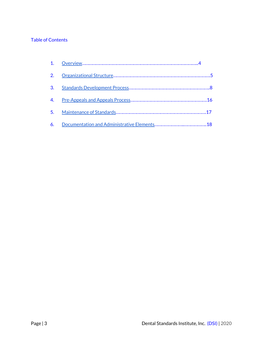# Table of Contents

| 2. |  |
|----|--|
| 3. |  |
|    |  |
|    |  |
| 6. |  |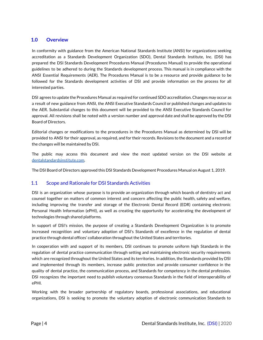# <span id="page-3-0"></span>**1.0 Overview**

In conformity with guidance from the American National Standards Institute (ANSI) for organizations seeking accreditation as a Standards Development Organization (SDO), Dental Standards Institute, Inc. (DSI) has prepared the DSI Standards Development Procedures Manual (Procedures Manual) to provide the operational guidelines to be adhered to during the Standards development process. This manual is in compliance with the ANSI Essential Requirements (AER). The Procedures Manual is to be a resource and provide guidance to be followed for the Standards development activities of DSI and provide information on the process for all interested parties.

DSI agrees to update the Procedures Manual as required for continued SDO accreditation. Changes may occur as a result of new guidance from ANSI, the ANSI Executive Standards Council or published changes and updates to the AER. Substantial changes to this document will be provided to the ANSI Executive Standards Council for approval. All revisions shall be noted with a version number and approval date and shall be approved by the DSI Board of Directors.

Editorial changes or modifications to the procedures in the Procedures Manual as determined by DSI will be provided to ANSI for their approval, as required, and for their records. Revisions to the document and a record of the changes will be maintained by DSI.

The public may access this document and view the most updated version on the DSI website at [dentalstandardsinstitute.com](http://www.dentalstandardsinstitute.com/).

The DSI Board of Directors approved this DSI Standards Development Procedures Manual on August 1, 2019.

# 1.1 Scope and Rationale for DSI Standards Activities

DSI is an organization whose purpose is to provide an organization through which boards of dentistry act and counsel together on matters of common interest and concern affecting the public health, safety and welfare, including improving the transfer and storage of the Electronic Dental Record (EDR) containing electronic Personal Health Information (ePHI), as well as creating the opportunity for accelerating the development of technologies through shared platforms.

In support of DSI's mission, the purpose of creating a Standards Development Organization is to promote increased recognition and voluntary adoption of DSI's Standards of excellence in the regulation of dental practice through dental offices' collaboration throughout the United States and territories.

In cooperation with and support of its members, DSI continues to promote uniform high Standards in the regulation of dental practice communication through setting and maintaining electronic security requirements which are recognized throughout the United States and its territories. In addition, the Standards provided by DSI and implemented through its members, increase public protection and provide consumer confidence in the quality of dental practice, the communication process, and Standards for competency in the dental profession. DSI recognizes the important need to publish voluntary consensus Standards in the field of interoperability of ePHI.

Working with the broader partnership of regulatory boards, professional associations, and educational organizations, DSI is seeking to promote the voluntary adoption of electronic communication Standards to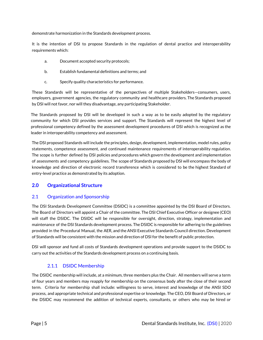demonstrate harmonization in the Standards development process.

It is the intention of DSI to propose Standards in the regulation of dental practice and interoperability requirements which:

- a. Document accepted security protocols;
- b. Establish fundamental definitions and terms; and
- c. Specify quality characteristics for performance.

These Standards will be representative of the perspectives of multiple Stakeholders—consumers, users, employers, government agencies, the regulatory community and healthcare providers. The Standards proposed by DSI will not favor, nor will they disadvantage, any participating Stakeholder.

The Standards proposed by DSI will be developed in such a way as to be easily adopted by the regulatory community for which DSI provides services and support. The Standards will represent the highest level of professional competency defined by the assessment development procedures of DSI which is recognized as the leader in interoperability competency and assessment.

The DSI proposed Standards will include the principles, design, development, implementation, model rules, policy statements, competence assessment, and continued maintenance requirements of interoperability regulation. The scope is further defined by DSI policies and procedures which govern the development and implementation of assessments and competency guidelines. The scope of Standards proposed by DSI will encompass the body of knowledge and direction of electronic record transference which is considered to be the highest Standard of entry-level practice as demonstrated by its adoption.

# <span id="page-4-0"></span>**2.0 Organizational Structure**

# 2.1 Organization and Sponsorship

The DSI Standards Development Committee (DSIDC) is a committee appointed by the DSI Board of Directors. The Board of Directors will appoint a Chair of the committee. The DSI Chief Executive Officer or designee (CEO) will staff the DSIDC. The DSIDC will be responsible for oversight, direction, strategy, implementation and maintenance of the DSI Standards development process. The DSIDC is responsible for adhering to the guidelines provided in the Procedural Manual, the AER, and the ANSI Executive Standards Council direction. Development of Standards will be consistent with the mission and direction of DSI for the benefit of public protection.

DSI will sponsor and fund all costs of Standards development operations and provide support to the DSIDC to carry out the activities of the Standards development process on a continuing basis.

# 2.1.1 DSIDC Membership

The DSIDC membership will include, at a minimum, three members plus the Chair. All members will serve a term of four years and members may reapply for membership on the consensus body after the close of their second term. Criteria for membership shall include: willingness to serve, interest and knowledge of the ANSI SDO process, and appropriate technical and professional expertise or knowledge. The CEO, DSI Board of Directors, or the DSIDC may recommend the addition of technical experts, consultants, or others who may be hired or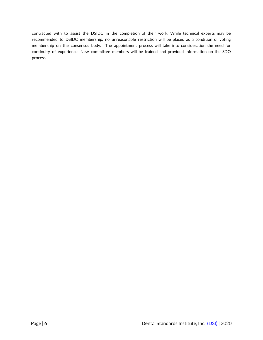contracted with to assist the DSIDC in the completion of their work. While technical experts may be recommended to DSIDC membership, no unreasonable restriction will be placed as a condition of voting membership on the consensus body. The appointment process will take into consideration the need for continuity of experience. New committee members will be trained and provided information on the SDO process.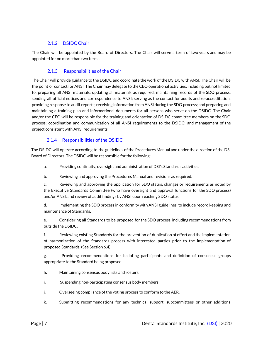# 2.1.2 DSIDC Chair

The Chair will be appointed by the Board of Directors. The Chair will serve a term of two years and may be appointed for no more than two terms.

# 2.1.3 Responsibilities of the Chair

The Chair will provide guidance to the DSIDC and coordinate the work of the DSIDC with ANSI. The Chair will be the point of contact for ANSI. The Chair may delegate to the CEO operational activities, including but not limited to, preparing all ANSI materials; updating all materials as required; maintaining records of the SDO process; sending all official notices and correspondence to ANSI; serving as the contact for audits and re-accreditation; providing response to audit reports; receiving information from ANSI during the SDO process; and preparing and maintaining a training plan and informational documents for all persons who serve on the DSIDC. The Chair and/or the CEO will be responsible for the training and orientation of DSIDC committee members on the SDO process; coordination and communication of all ANSI requirements to the DSIDC; and management of the project consistent with ANSI requirements.

# 2.1.4 Responsibilities of the DSIDC

The DSIDC will operate according to the guidelines of the Procedures Manual and under the direction of the DSI Board of Directors. The DSIDC will be responsible for the following:

- a. Providing continuity, oversight and administration of DSI's Standards activities.
- b. Reviewing and approving the Procedures Manual and revisions as required.

c. Reviewing and approving the application for SDO status, changes or requirements as noted by the Executive Standards Committee (who have oversight and approval functions for the SDO process) and/or ANSI, and review of audit findings by ANSI upon reaching SDO status.

d. Implementing the SDO process in conformity with ANSI guidelines, to include record keeping and maintenance of Standards.

e. Considering all Standards to be proposed for the SDO process, including recommendations from outside the DSIDC.

f. Reviewing existing Standards for the prevention of duplication of effort and the implementation of harmonization of the Standards process with interested parties prior to the implementation of proposed Standards. (See Section 6.4)

g. Providing recommendations for balloting participants and definition of consensus groups appropriate to the Standard being proposed.

- h. Maintaining consensus body lists and rosters.
- i. Suspending non-participating consensus body members.
- j. Overseeing compliance of the voting process to conform to the AER.
- k. Submitting recommendations for any technical support, subcommittees or other additional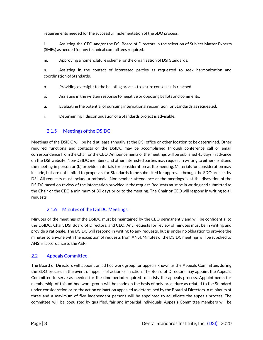requirements needed for the successful implementation of the SDO process.

l. Assisting the CEO and/or the DSI Board of Directors in the selection of Subject Matter Experts (SMEs) as needed for any technical committees required.

m. Approving a nomenclature scheme for the organization of DSI Standards.

n. Assisting in the contact of interested parties as requested to seek harmonization and coordination of Standards.

- o. Providing oversight to the balloting process to assure consensus is reached.
- p. Assisting in the written response to negative or opposing ballots and comments.
- q. Evaluating the potential of pursuing international recognition for Standards as requested.
- r. Determining if discontinuation of a Standards project is advisable.

# 2.1.5 Meetings of the DSIDC

Meetings of the DSIDC will be held at least annually at the DSI office or other location to be determined. Other required functions and contacts of the DSIDC may be accomplished through conference call or email correspondence from the Chair or the CEO. Announcements of the meetings will be published 45 days in advance on the DSI website. Non-DSIDC members and other interested parties may request in writing to either (a) attend the meeting in person or (b) provide materials for consideration at the meeting. Materials for consideration may include, but are not limited to proposals for Standards to be submitted for approval through the SDO process by DSI. All requests must include a rationale. Nonmember attendance at the meetings is at the discretion of the DSIDC based on review of the information provided in the request. Requests must be in writing and submitted to the Chair or the CEO a minimum of 30 days prior to the meeting. The Chair or CEO will respond in writing to all requests.

# 2.1.6 Minutes of the DSIDC Meetings

Minutes of the meetings of the DSIDC must be maintained by the CEO permanently and will be confidential to the DSIDC, Chair, DSI Board of Directors, and CEO. Any requests for review of minutes must be in writing and provide a rationale. The DSIDC will respond in writing to any requests, but is under no obligation to provide the minutes to anyone with the exception of requests from ANSI. Minutes of the DSIDC meetings will be supplied to ANSI in accordance to the AER.

# 2.2 Appeals Committee

The Board of Directors will appoint an ad hoc work group for appeals known as the Appeals Committee, during the SDO process in the event of appeals of action or inaction. The Board of Directors may appoint the Appeals Committee to serve as needed for the time period required to satisfy the appeals process. Appointments for membership of this ad hoc work group will be made on the basis of only procedure as related to the Standard under consideration or to the action or inaction appealed as determined by the Board of Directors. A minimum of three and a maximum of five independent persons will be appointed to adjudicate the appeals process. The committee will be populated by qualified, fair and impartial individuals. Appeals Committee members will be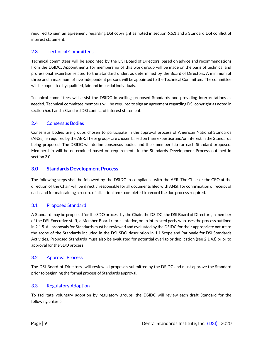required to sign an agreement regarding DSI copyright as noted in section 6.6.1 and a Standard DSI conflict of interest statement.

# 2.3 Technical Committees

Technical committees will be appointed by the DSI Board of Directors, based on advice and recommendations from the DSIDC. Appointments for membership of this work group will be made on the basis of technical and professional expertise related to the Standard under, as determined by the Board of Directors. A minimum of three and a maximum of five independent persons will be appointed to the Technical Committee. The committee will be populated by qualified, fair and impartial individuals.

Technical committees will assist the DSIDC in writing proposed Standards and providing interpretations as needed. Technical committee members will be required to sign an agreement regarding DSI copyright as noted in section 6.6.1 and a Standard DSI conflict of interest statement.

# 2.4 Consensus Bodies

Consensus bodies are groups chosen to participate in the approval process of American National Standards (ANSs) as required by the AER. These groups are chosen based on their expertise and/or interest in the Standards being proposed. The DSIDC will define consensus bodies and their membership for each Standard proposed. Membership will be determined based on requirements in the Standards Development Process outlined in section 3.0.

# <span id="page-8-0"></span>**3.0 Standards Development Process**

The following steps shall be followed by the DSIDC in compliance with the AER. The Chair or the CEO at the direction of the Chair will be directly responsible for all documents filed with ANSI; for confirmation of receipt of each; and for maintaining a record of all action items completed to record the due process required.

# 3.1 Proposed Standard

A Standard may be proposed for the SDO process by the Chair, the DSIDC, the DSI Board of Directors, a member of the DSI Executive staff, a Member Board representative, or an interested party who uses the process outlined in 2.1.5. All proposals for Standards must be reviewed and evaluated by the DSIDC for their appropriate nature to the scope of the Standards included in the DSI SDO description in 1.1 Scope and Rationale for DSI Standards Activities. Proposed Standards must also be evaluated for potential overlap or duplication (see 2.1.4.f) prior to approval for the SDO process.

# 3.2 Approval Process

The DSI Board of Directors will review all proposals submitted by the DSIDC and must approve the Standard prior to beginning the formal process of Standards approval.

# 3.3 Regulatory Adoption

To facilitate voluntary adoption by regulatory groups, the DSIDC will review each draft Standard for the following criteria: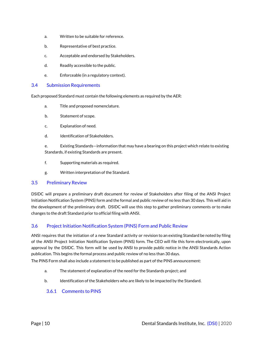- a. Written to be suitable for reference.
- b. Representative of best practice.
- c. Acceptable and endorsed by Stakeholders.
- d. Readily accessible to the public.
- e. Enforceable (in a regulatory context).

#### 3.4 Submission Requirements

Each proposed Standard must contain the following elements as required by the AER:

- a. Title and proposed nomenclature.
- b. Statement of scope.
- c. Explanation of need.
- d. Identification of Stakeholders.

e. Existing Standards—information that may have a bearing on this project which relate to existing Standards, if existing Standards are present.

- f. Supporting materials as required.
- g. Written interpretation of the Standard.

#### 3.5 Preliminary Review

DSIDC will prepare a preliminary draft document for review of Stakeholders after filing of the ANSI Project Initiation Notification System (PINS) form and the formal and public review of no less than 30 days. This will aid in the development of the preliminary draft. DSIDC will use this step to gather preliminary comments or to make changes to the draft Standard prior to official filing with ANSI.

# 3.6 Project Initiation Notification System (PINS) Form and Public Review

ANSI requires that the initiation of a new Standard activity or revision to an existing Standard be noted by filing of the ANSI Project Initiation Notification System (PINS) form. The CEO will file this form electronically, upon approval by the DSIDC. This form will be used by ANSI to provide public notice in the ANSI Standards Action publication. This begins the formal process and public review of no less than 30 days.

The PINS Form shall also include a statement to be published as part of the PINS announcement:

- a. The statement of explanation of the need for the Standards project; and
- b. Identification of the Stakeholders who are likely to be impacted by the Standard.

#### 3.6.1 Comments to PINS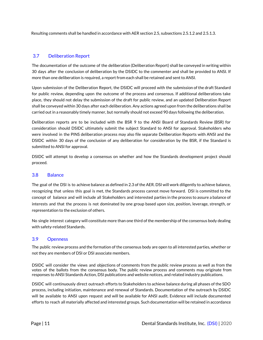Resulting comments shall be handled in accordance with AER section 2.5, subsections 2.5.1.2 and 2.5.1.3.

# 3.7 Deliberation Report

The documentation of the outcome of the deliberation (Deliberation Report) shall be conveyed in writing within 30 days after the conclusion of deliberation by the DSIDC to the commenter and shall be provided to ANSI. If more than one deliberation is required, a report from each shall be retained and sent to ANSI.

Upon submission of the Deliberation Report, the DSIDC will proceed with the submission of the draft Standard for public review, depending upon the outcome of the process and consensus. If additional deliberations take place, they should not delay the submission of the draft for public review, and an updated Deliberation Report shall be conveyed within 30 days after each deliberation. Any actions agreed upon from the deliberations shall be carried out in a reasonably timely manner, but normally should not exceed 90 days following the deliberation.

Deliberation reports are to be included with the BSR 9 to the ANSI Board of Standards Review (BSR) for consideration should DSIDC ultimately submit the subject Standard to ANSI for approval. Stakeholders who were involved in the PINS deliberation process may also file separate Deliberation Reports with ANSI and the DSIDC within 30 days of the conclusion of any deliberation for consideration by the BSR, if the Standard is submitted to ANSI for approval.

DSIDC will attempt to develop a consensus on whether and how the Standards development project should proceed.

# 3.8 Balance

The goal of the DSI is to achieve balance as defined in 2.3 of the AER. DSI will work diligently to achieve balance, recognizing that unless this goal is met, the Standards process cannot move forward. DSI is committed to the concept of balance and will include all Stakeholders and interested parties in the process to assure a balance of interests and that the process is not dominated by one group based upon size, position, leverage, strength, or representation to the exclusion of others.

No single interest category will constitute more than one third of the membership of the consensus body dealing with safety-related Standards.

#### 3.9 Openness

The public review process and the formation of the consensus body are open to all interested parties, whether or not they are members of DSI or DSI associate members.

DSIDC will consider the views and objections of comments from the public review process as well as from the votes of the ballots from the consensus body. The public review process and comments may originate from responses to ANSI Standards Action, DSI publications and website notices, and related industry publications.

DSIDC will continuously direct outreach efforts to Stakeholders to achieve balance during all phases of the SDO process, including initiation, maintenance and renewal of Standards. Documentation of the outreach by DSIDC will be available to ANSI upon request and will be available for ANSI audit. Evidence will include documented efforts to reach all materially affected and interested groups. Such documentation will be retained in accordance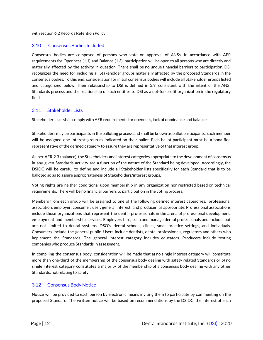with section 6.2 Records Retention Policy.

## 3.10 Consensus Bodies Included

Consensus bodies are composed of persons who vote on approval of ANSs. In accordance with AER requirements for Openness (1.1) and Balance (1.3), participation will be open to all persons who are directly and materially affected by the activity in question. There shall be no undue financial barriers to participation. DSI recognizes the need for including all Stakeholder groups materially affected by the proposed Standards in the consensus bodies. To this end, consideration for initial consensus bodies will include all Stakeholder groups listed and categorized below. Their relationship to DSI is defined in 3.9, consistent with the intent of the ANSI Standards process and the relationship of such entities to DSI as a not-for-profit organization in the regulatory field.

#### 3.11 Stakeholder Lists

Stakeholder Lists shall comply with AER requirements for openness, lack of dominance and balance.

Stakeholders may be participants in the balloting process and shall be known as ballot participants. Each member will be assigned one interest group as indicated on their ballot. Each ballot participant must be a bona-fide representative of the defined category to assure they are representative of that interest group.

As per AER 2.3 (balance), the Stakeholders and interest categories appropriate to the development of consensus in any given Standards activity are a function of the nature of the Standard being developed. Accordingly, the DSIDC will be careful to define and include all Stakeholder lists specifically for each Standard that is to be balloted so as to assure appropriateness of Stakeholders/interest groups.

Voting rights are neither conditional upon membership in any organization nor restricted based on technical requirements. There will be no financial barriers to participation in the voting process.

Members from each group will be assigned to one of the following defined interest categories: professional association, employer, consumer, user, general interest, and producer, as appropriate. Professional associations include those organizations that represent the dental professionals in the arena of professional development, employment and membership services. Employers hire, train and manage dental professionals and include, but are not limited to dental systems, DSO's, dental schools, clinics, small practice settings, and individuals. Consumers include the general public. Users include dentists, dental professionals, regulators and others who implement the Standards. The general interest category includes educators. Producers include testing companies who produce Standards in assessment.

In compiling the consensus body, consideration will be made that a) no single interest category will constitute more than one-third of the membership of the consensus body dealing with safety related Standards or b) no single interest category constitutes a majority of the membership of a consensus body dealing with any other Standards, not relating to safety.

# 3.12 Consensus Body Notice

Notice will be provided to each person by electronic means inviting them to participate by commenting on the proposed Standard. The written notice will be based on recommendations by the DSIDC, the interest of each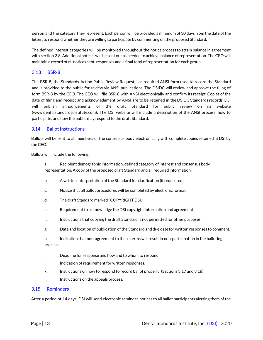person and the category they represent. Each person will be provided a minimum of 30 days from the date of the letter, to respond whether they are willing to participate by commenting on the proposed Standard.

The defined interest categories will be monitored throughout the notice process to attain balance in agreement with section 3.8. Additional notices will be sent out as needed to achieve balance of representation. The CEO will maintain a record of all notices sent, responses and a final total of representation for each group.

# 3.13 BSR-8

The BSR-8, the Standards Action Public Review Request, is a required ANSI form used to record the Standard and is provided to the public for review via ANSI publications. The DSIDC will review and approve the filing of form BSR-8 by the CEO. The CEO will file BSR-8 with ANSI electronically and confirm its receipt. Copies of the date of filing and receipt and acknowledgment by ANSI are to be retained in the DSIDC Standards records. DSI will publish announcements of the draft Standard for public review on its website [\(www.dentalstandardsinstitute.com](http://www.dentalstandardsinstitute.com/)). The DSI website will include a description of the ANSI process, how to participate, and how the public may respond to the draft Standard.

# 3.14 Ballot Instructions

Ballots will be sent to all members of the consensus body electronically with complete copies retained at DSI by the CEO.

Ballots will include the following:

a. Recipient demographic information, defined category of interest and consensus body representation. A copy of the proposed draft Standard and all required information.

- b. A written interpretation of the Standard for clarification (if requested).
- c. Notice that all ballot procedures will be completed by electronic format.
- d. The draft Standard marked "COPYRIGHT DSI."
- e. Requirement to acknowledge the DSI copyright information and agreement.
- f. Instructions that copying the draft Standard is not permitted for other purposes.
- g. Date and location of publication of the Standard and due date for written responses to comment.
- h. Indication that non-agreement to these terms will result in non-participation in the balloting process.
- i. Deadline for response and how and to whom to respond,
- j. Indication of requirement for written responses.
- k. Instructions on how to respond to record ballot properly. (Sections 3.17 and 3.18).
- I. Instructions on the appeals process.

#### 3.15 Reminders

After a period of 14 days, DSI will send electronic reminder notices to all ballot participants alerting them of the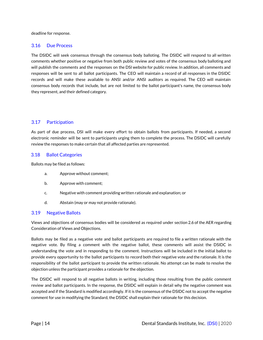deadline for response.

# 3.16 Due Process

The DSIDC will seek consensus through the consensus body balloting. The DSIDC will respond to all written comments whether positive or negative from both public review and votes of the consensus body balloting and will publish the comments and the responses on the DSI website for public review. In addition, all comments and responses will be sent to all ballot participants. The CEO will maintain a record of all responses in the DSIDC records and will make these available to ANSI and/or ANSI auditors as required. The CEO will maintain consensus body records that include, but are not limited to the ballot participant's name, the consensus body they represent, and their defined category.

#### 3.17 Participation

As part of due process, DSI will make every effort to obtain ballots from participants. If needed, a second electronic reminder will be sent to participants urging them to complete the process. The DSIDC will carefully review the responses to make certain that all affected parties are represented.

#### 3.18 Ballot Categories

Ballots may be filed as follows:

- a. Approve without comment;
- b. Approve with comment;
- c. Negative with comment providing written rationale and explanation; or
- d. Abstain (may or may not provide rationale).

#### 3.19 Negative Ballots

Views and objections of consensus bodies will be considered as required under section 2.6 of the AER regarding Consideration of Views and Objections.

Ballots may be filed as a negative vote and ballot participants are required to file a written rationale with the negative vote. By filing a comment with the negative ballot, these comments will assist the DSIDC in understanding the vote and in responding to the comment. Instructions will be included in the initial ballot to provide every opportunity to the ballot participants to record both their negative vote and the rationale. It is the responsibility of the ballot participant to provide the written rationale. No attempt can be made to resolve the objection unless the participant provides a rationale for the objection.

The DSIDC will respond to all negative ballots in writing, including those resulting from the public comment review and ballot participants. In the response, the DSIDC will explain in detail why the negative comment was accepted and if the Standard is modified accordingly. If it is the consensus of the DSIDC not to accept the negative comment for use in modifying the Standard, the DSIDC shall explain their rationale for this decision.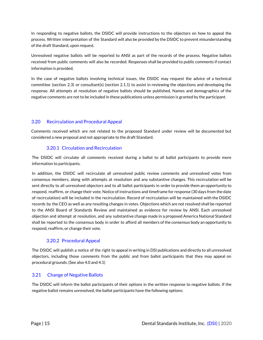In responding to negative ballots, the DSIDC will provide instructions to the objectors on how to appeal the process. Written interpretation of the Standard will also be provided by the DSIDC to prevent misunderstanding of the draft Standard, upon request.

Unresolved negative ballots will be reported to ANSI as part of the records of the process. Negative ballots received from public comments will also be recorded. Responses shall be provided to public comments if contact information is provided.

In the case of negative ballots involving technical issues, the DSIDC may request the advice of a technical committee (section 2.3) or consultant(s) (section 2.1.1) to assist in reviewing the objections and developing the response. All attempts at resolution of negative ballots should be published. Names and demographics of the negative comments are not to be included in these publications unless permission is granted by the participant.

# 3.20 Recirculation and Procedural Appeal

Comments received which are not related to the proposed Standard under review will be documented but considered a new proposal and not appropriate to the draft Standard.

# 3.20.1 Circulation and Recirculation

The DSIDC will circulate all comments received during a ballot to all ballot participants to provide more information to participants.

In addition, the DSIDC will recirculate all unresolved public review comments and unresolved votes from consensus members, along with attempts at resolution and any substantive changes. This recirculation will be sent directly to all unresolved objectors and to all ballot participants in order to provide them an opportunity to respond, reaffirm, or change their vote. Notice of instructions and timeframe for response (30 days from the date of recirculation) will be included in the recirculation. Record of recirculation will be maintained with the DSIDC records by the CEO as well as any resulting changes in votes. Objections which are not resolved shall be reported to the ANSI Board of Standards Review and maintained as evidence for review by ANSI. Each unresolved objection and attempt at resolution, and any substantive change made in a proposed America National Standard shall be reported to the consensus body in order to afford all members of the consensus body an opportunity to respond, reaffirm, or change their vote.

# 3.20.2 Procedural Appeal

The DSIDC will publish a notice of the right to appeal in writing in DSI publications and directly to all unresolved objectors, including those comments from the public and from ballot participants that they may appeal on procedural grounds. (See also 4.0 and 4.1)

# 3.21 Change of Negative Ballots

The DSIDC will inform the ballot participants of their options in the written response to negative ballots. If the negative ballot remains unresolved, the ballot participants have the following options: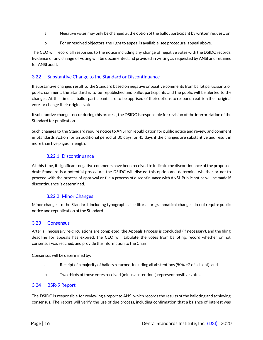- a. Negative votes may only be changed at the option of the ballot participant by written request; or
- b. For unresolved objectors, the right to appeal is available, see procedural appeal above.

The CEO will record all responses to the notice including any change of negative votes with the DSIDC records. Evidence of any change of voting will be documented and provided in writing as requested by ANSI and retained for ANSI audit.

# 3.22 Substantive Change to the Standard or Discontinuance

If substantive changes result to the Standard based on negative or positive comments from ballot participants or public comment, the Standard is to be republished and ballot participants and the public will be alerted to the changes. At this time, all ballot participants are to be apprised of their options to respond, reaffirm their original vote, or change their original vote.

If substantive changes occur during this process, the DSIDC is responsible for revision of the interpretation of the Standard for publication.

Such changes to the Standard require notice to ANSI for republication for public notice and review and comment in Standards Action for an additional period of 30 days; or 45 days if the changes are substantive and result in more than five pages in length.

# 3.22.1 Discontinuance

At this time, if significant negative comments have been received to indicate the discontinuance of the proposed draft Standard is a potential procedure, the DSIDC will discuss this option and determine whether or not to proceed with the process of approval or file a process of discontinuance with ANSI. Public notice will be made if discontinuance is determined.

#### 3.22.2 Minor Changes

Minor changes to the Standard, including typographical, editorial or grammatical changes do not require public notice and republication of the Standard.

#### 3.23 Consensus

After all necessary re-circulations are completed, the Appeals Process is concluded (if necessary), and the filing deadline for appeals has expired, the CEO will tabulate the votes from balloting, record whether or not consensus was reached, and provide the information to the Chair.

Consensus will be determined by:

- a. Receipt of a majority of ballots returned, including all abstentions (50% +2 of all sent); and
- b. Two thirds of those votes received (minus abstentions) represent positive votes.

#### 3.24 BSR-9 Report

The DSIDC is responsible for reviewing a report to ANSI which records the results of the balloting and achieving consensus. The report will verify the use of due process, including confirmation that a balance of interest was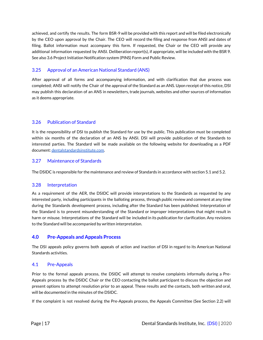achieved, and certify the results. The form BSR-9 will be provided with this report and will be filed electronically by the CEO upon approval by the Chair. The CEO will record the filing and response from ANSI and dates of filing. Ballot information must accompany this form. If requested, the Chair or the CEO will provide any additional information requested by ANSI. Deliberation report(s), if appropriate, will be included with the BSR 9. See also 3.6 Project Initiation Notification system (PINS) Form and Public Review.

# 3.25 Approval of an American National Standard (ANS)

After approval of all forms and accompanying information, and with clarification that due process was completed; ANSI will notify the Chair of the approval of the Standard as an ANS. Upon receipt of this notice, DSI may publish this declaration of an ANS in newsletters, trade journals, websites and other sources of information as it deems appropriate.

# 3.26 Publication of Standard

It is the responsibility of DSI to publish the Standard for use by the public. This publication must be completed within six months of the declaration of an ANS by ANSI. DSI will provide publication of the Standards to interested parties. The Standard will be made available on the following website for downloading as a PDF document: [dentalstandardsinstitute.com](http://www.dentalstandardsinstitute.com/).

# 3.27 Maintenance of Standards

The DSIDC is responsible for the maintenance and review of Standards in accordance with section 5.1 and 5.2.

# 3.28 Interpretation

As a requirement of the AER, the DSIDC will provide interpretations to the Standards as requested by any interested party, including participants in the balloting process, through public review and comment at any time during the Standards development process, including after the Standard has been published. Interpretation of the Standard is to prevent misunderstanding of the Standard or improper interpretations that might result in harm or misuse. Interpretations of the Standard will be included in its publication for clarification. Any revisions to the Standard will be accompanied by written interpretation.

# <span id="page-16-0"></span>**4.0 Pre-Appeals and Appeals Process**

The DSI appeals policy governs both appeals of action and inaction of DSI in regard to its American National Standards activities.

# 4.1 Pre-Appeals

Prior to the formal appeals process, the DSIDC will attempt to resolve complaints informally during a Pre-Appeals process by the DSIDC Chair or the CEO contacting the ballot participant to discuss the objection and present options to attempt resolution prior to an appeal. These results and the contacts, both written and oral, will be documented in the minutes of the DSIDC.

If the complaint is not resolved during the Pre-Appeals process, the Appeals Committee (See Section 2.2) will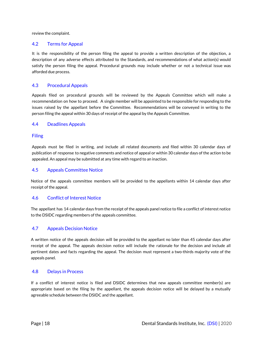review the complaint.

#### 4.2 Terms for Appeal

It is the responsibility of the person filing the appeal to provide a written description of the objection, a description of any adverse effects attributed to the Standards, and recommendations of what action(s) would satisfy the person filing the appeal. Procedural grounds may include whether or not a technical issue was afforded due process.

#### 4.3 Procedural Appeals

Appeals filed on procedural grounds will be reviewed by the Appeals Committee which will make a recommendation on how to proceed. A single member will be appointed to be responsible for responding to the issues raised by the appellant before the Committee. Recommendations will be conveyed in writing to the person filing the appeal within 30 days of receipt of the appeal by the Appeals Committee.

#### 4.4 Deadlines Appeals

#### Filing

Appeals must be filed in writing, and include all related documents and filed within 30 calendar days of publication of response to negative comments and notice of appeal or within 30 calendar days of the action to be appealed. An appeal may be submitted at any time with regard to an inaction.

## 4.5 Appeals Committee Notice

Notice of the appeals committee members will be provided to the appellants within 14 calendar days after receipt of the appeal.

#### 4.6 Conflict of Interest Notice

The appellant has 14 calendar days from the receipt of the appeals panel notice to file a conflict of interest notice to the DSIDC regarding members of the appeals committee.

#### 4.7 Appeals Decision Notice

A written notice of the appeals decision will be provided to the appellant no later than 45 calendar days after receipt of the appeal. The appeals decision notice will include the rationale for the decision and include all pertinent dates and facts regarding the appeal. The decision must represent a two-thirds majority vote of the appeals panel.

#### 4.8 Delays in Process

If a conflict of interest notice is filed and DSIDC determines that new appeals committee member(s) are appropriate based on the filing by the appellant, the appeals decision notice will be delayed by a mutually agreeable schedule between the DSIDC and the appellant.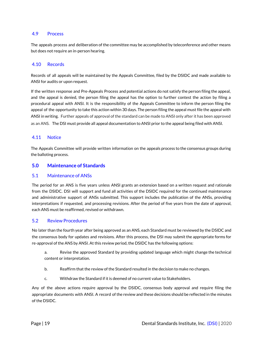#### 4.9 Process

The appeals process and deliberation of the committee may be accomplished by teleconference and other means but does not require an in-person hearing.

#### 4.10 Records

Records of all appeals will be maintained by the Appeals Committee, filed by the DSIDC and made available to ANSI for audits or upon request.

If the written response and Pre-Appeals Process and potential actions do not satisfy the person filing the appeal, and the appeal is denied, the person filing the appeal has the option to further contest the action by filing a procedural appeal with ANSI. It is the responsibility of the Appeals Committee to inform the person filing the appeal of the opportunity to take this action within 30 days. The person filing the appeal must file the appeal with ANSI in writing. Further appeals of approval of the standard can be made to ANSI only after it has been approved as an ANS. The DSI must provide all appeal documentation to ANSI prior to the appeal being filed with ANSI.

#### 4.11 Notice

The Appeals Committee will provide written information on the appeals process to the consensus groups during the balloting process.

#### <span id="page-18-0"></span>**5.0 Maintenance of Standards**

#### 5.1 Maintenance of ANSs

The period for an ANS is five years unless ANSI grants an extension based on a written request and rationale from the DSIDC. DSI will support and fund all activities of the DSIDC required for the continued maintenance and administrative support of ANSs submitted. This support includes the publication of the ANSs, providing interpretations if requested, and processing revisions. After the period of five years from the date of approval, each ANS must be reaffirmed, revised or withdrawn.

#### 5.2 Review Procedures

No later than the fourth year after being approved as an ANS, each Standard must be reviewed by the DSIDC and the consensus body for updates and revisions. After this process, the DSI may submit the appropriate forms for re-approval of the ANS by ANSI. At this review period, the DSIDC has the following options:

- a. Revise the approved Standard by providing updated language which might change the technical content or interpretation.
- b. Reaffirm that the review of the Standard resulted in the decision to make no changes.
- c. Withdraw the Standard if it is deemed of no current value to Stakeholders.

Any of the above actions require approval by the DSIDC, consensus body approval and require filing the appropriate documents with ANSI. A record of the review and these decisions should be reflected in the minutes of the DSIDC.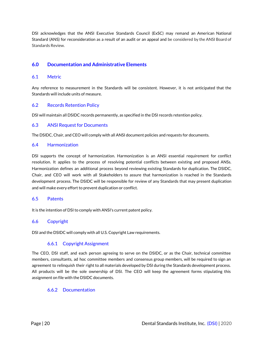DSI acknowledges that the ANSI Executive Standards Council (ExSC) may remand an American National Standard (ANS) for reconsideration as a result of an audit or an appeal and be considered by the ANSI Board of Standards Review.

# <span id="page-19-0"></span>**6.0 Documentation and Administrative Elements**

#### 6.1 Metric

Any reference to measurement in the Standards will be consistent. However, it is not anticipated that the Standards will include units of measure.

# 6.2 Records Retention Policy

DSI will maintain all DSIDC records permanently, as specified in the DSI records retention policy.

#### 6.3 ANSI Request for Documents

The DSIDC, Chair, and CEO will comply with all ANSI document policies and requests for documents.

#### 6.4 Harmonization

DSI supports the concept of harmonization. Harmonization is an ANSI essential requirement for conflict resolution. It applies to the process of resolving potential conflicts between existing and proposed ANSs. Harmonization defines an additional process beyond reviewing existing Standards for duplication. The DSIDC, Chair, and CEO will work with all Stakeholders to assure that harmonization is reached in the Standards development process. The DSIDC will be responsible for review of any Standards that may present duplication and will make every effort to prevent duplication or conflict.

#### 6.5 Patents

It is the intention of DSI to comply with ANSI's current patent policy.

# 6.6 Copyright

DSI and the DSIDC will comply with all U.S. Copyright Law requirements.

# 6.6.1 Copyright Assignment

The CEO, DSI staff, and each person agreeing to serve on the DSIDC, or as the Chair, technical committee members, consultants, ad hoc committee members and consensus group members, will be required to sign an agreement to relinquish their right to all materials developed by DSI during the Standards development process. All products will be the sole ownership of DSI. The CEO will keep the agreement forms stipulating this assignment on file with the DSIDC documents.

#### 6.6.2 Documentation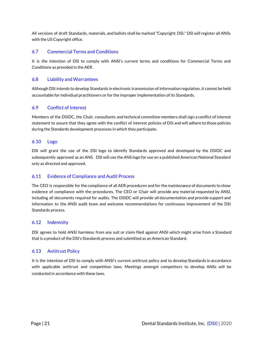All versions of draft Standards, materials, and ballots shall be marked "Copyright: DSI." DSI will register all ANSs with the US Copyright office.

# 6.7 Commercial Terms and Conditions

It is the intention of DSI to comply with ANSI's current terms and conditions for Commercial Terms and Conditions as provided in the AER.

# 6.8 Liability and Warrantees

Although DSI intends to develop Standards in electronic transmission of information regulation, it cannot be held accountable for individual practitioners or for the improper implementation of its Standards.

# 6.9 Conflict of Interest

Members of the DSIDC, the Chair, consultants and technical committee members shall sign a conflict of interest statement to assure that they agree with the conflict of interest policies of DSI and will adhere to those policies during the Standards development processes in which they participate.

# 6.10 Logo

DSI will grant the use of the DSI logo to identify Standards approved and developed by the DSIDC and subsequently approved as an ANS. DSI will use the ANS logo for use on a published American National Standard only as directed and approved.

# 6.11 Evidence of Compliance and Audit Process

The CEO is responsible for the compliance of all AER procedures and for the maintenance of documents to show evidence of compliance with the procedures. The CEO or Chair will provide any material requested by ANSI, including all documents required for audits. The DSIDC will provide all documentation and provide support and information to the ANSI audit team and welcome recommendations for continuous improvement of the DSI Standards process.

# 6.12 Indemnity

DSI agrees to hold ANSI harmless from any suit or claim filed against ANSI which might arise from a Standard that is a product of the DSI's Standards process and submitted as an American Standard.

# 6.13 Antitrust Policy

It is the intention of DSI to comply with ANSI's current antitrust policy and to develop Standards in accordance with applicable antitrust and competition laws. Meetings amongst competitors to develop ANSs will be conducted in accordance with these laws.